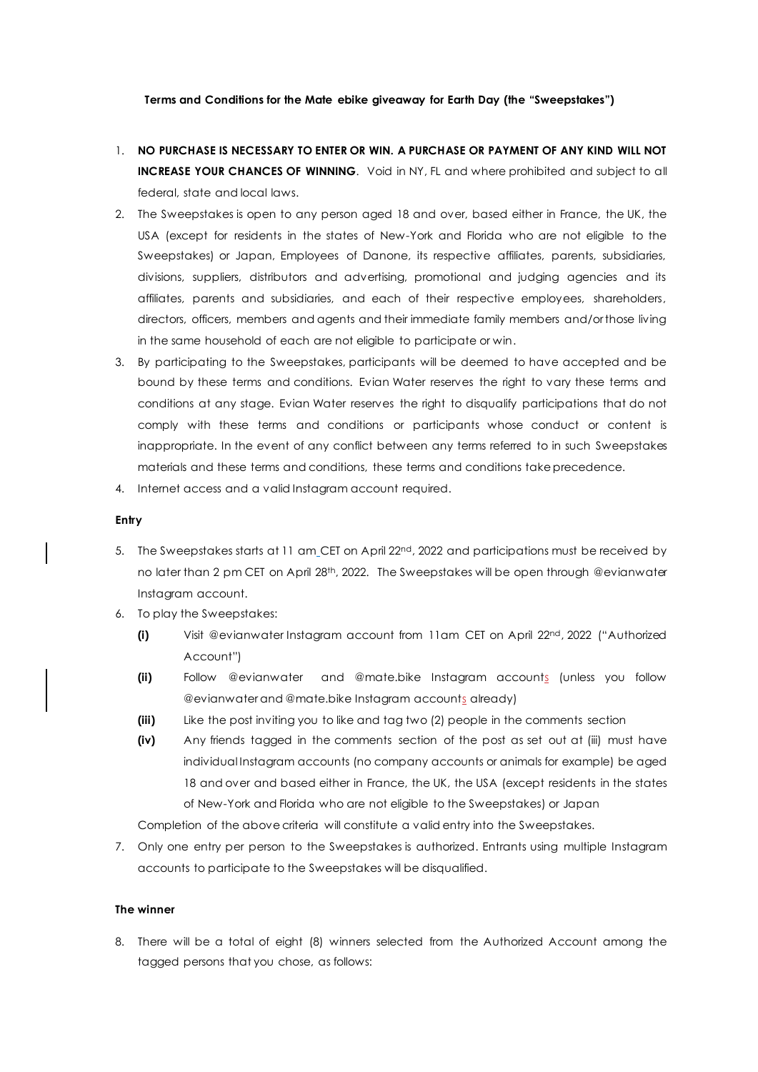# **Terms and Conditions for the Mate ebike giveaway for Earth Day (the "Sweepstakes")**

- 1. **NO PURCHASE IS NECESSARY TO ENTER OR WIN. A PURCHASE OR PAYMENT OF ANY KIND WILL NOT INCREASE YOUR CHANCES OF WINNING**. Void in NY, FL and where prohibited and subject to all federal, state and local laws.
- 2. The Sweepstakes is open to any person aged 18 and over, based either in France, the UK, the USA (except for residents in the states of New-York and Florida who are not eligible to the Sweepstakes) or Japan, Employees of Danone, its respective affiliates, parents, subsidiaries, divisions, suppliers, distributors and advertising, promotional and judging agencies and its affiliates, parents and subsidiaries, and each of their respective employees, shareholders, directors, officers, members and agents and their immediate family members and/or those living in the same household of each are not eligible to participate or win.
- 3. By participating to the Sweepstakes, participants will be deemed to have accepted and be bound by these terms and conditions. Evian Water reserves the right to vary these terms and conditions at any stage. Evian Water reserves the right to disqualify participations that do not comply with these terms and conditions or participants whose conduct or content is inappropriate. In the event of any conflict between any terms referred to in such Sweepstakes materials and these terms and conditions, these terms and conditions take precedence.
- 4. Internet access and a valid Instagram account required.

#### **Entry**

- 5. The Sweepstakes starts at 11 am CET on April 22<sup>nd</sup>, 2022 and participations must be received by no later than 2 pm CET on April 28<sup>th</sup>, 2022. The Sweepstakes will be open through @evianwater Instagram account.
- 6. To play the Sweepstakes:
	- **(i)** Visit @evianwater Instagram account from 11am CET on April 22<sup>nd</sup>, 2022 ("Authorized Account")
	- **(ii)** Follow @evianwater and @mate.bike Instagram accounts (unless you follow @evianwater and @mate.bike Instagram accounts already)
	- **(iii)** Like the post inviting you to like and tag two (2) people in the comments section
	- **(iv)** Any friends tagged in the comments section of the post as set out at (iii) must have individual Instagram accounts (no company accounts or animals for example) be aged 18 and over and based either in France, the UK, the USA (except residents in the states of New-York and Florida who are not eligible to the Sweepstakes) or Japan

Completion of the above criteria will constitute a valid entry into the Sweepstakes.

7. Only one entry per person to the Sweepstakes is authorized. Entrants using multiple Instagram accounts to participate to the Sweepstakes will be disqualified.

# **The winner**

8. There will be a total of eight (8) winners selected from the Authorized Account among the tagged persons that you chose, as follows: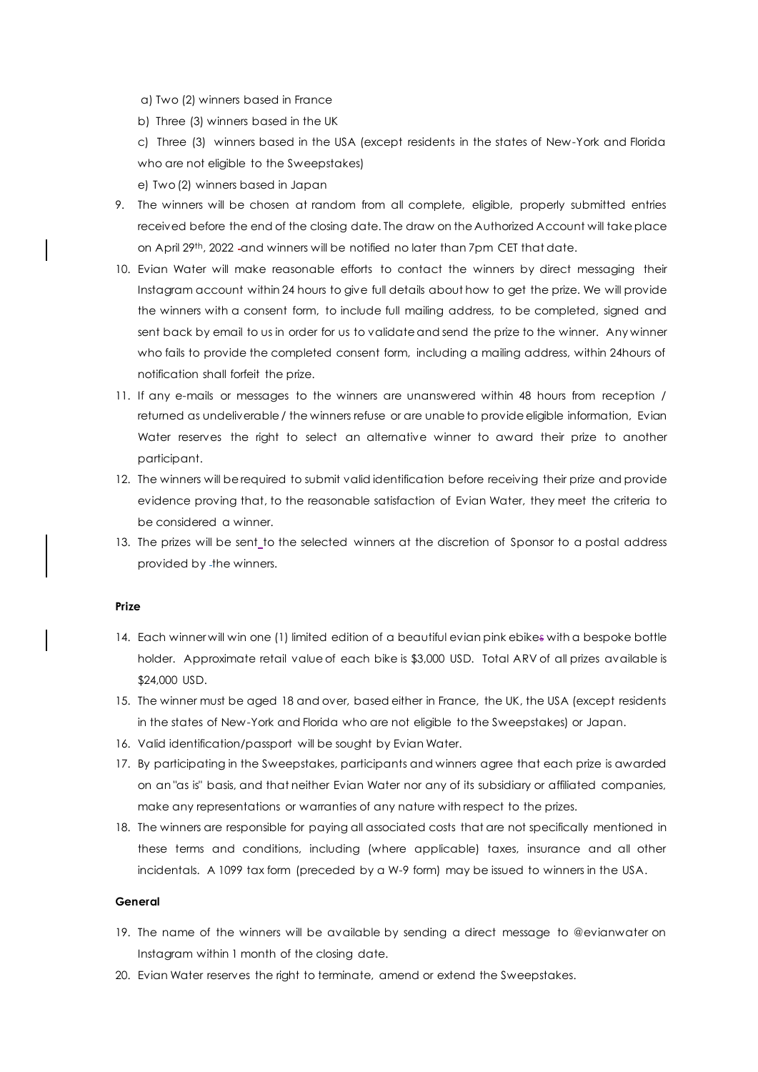a) Two (2) winners based in France

b) Three (3) winners based in the UK

c) Three (3) winners based in the USA (except residents in the states of New-York and Florida who are not eligible to the Sweepstakes)

e) Two (2) winners based in Japan

- 9. The winners will be chosen at random from all complete, eligible, properly submitted entries received before the end of the closing date. The draw on the Authorized Account will take place on April 29th, 2022 -and winners will be notified no later than 7pm CET that date.
- 10. Evian Water will make reasonable efforts to contact the winners by direct messaging their Instagram account within 24 hours to give full details about how to get the prize. We will provide the winners with a consent form, to include full mailing address, to be completed, signed and sent back by email to us in order for us to validate and send the prize to the winner. Any winner who fails to provide the completed consent form, including a mailing address, within 24hours of notification shall forfeit the prize.
- 11. If any e-mails or messages to the winners are unanswered within 48 hours from reception / returned as undeliverable / the winners refuse or are unable to provide eligible information, Evian Water reserves the right to select an alternative winner to award their prize to another participant.
- 12. The winners will be required to submit valid identification before receiving their prize and provide evidence proving that, to the reasonable satisfaction of Evian Water, they meet the criteria to be considered a winner.
- 13. The prizes will be sent to the selected winners at the discretion of Sponsor to a postal address provided by -the winners.

# **Prize**

- 14. Each winner will win one (1) limited edition of a beautiful evian pink ebikes with a bespoke bottle holder. Approximate retail value of each bike is \$3,000 USD. Total ARV of all prizes available is \$24,000 USD.
- 15. The winner must be aged 18 and over, based either in France, the UK, the USA (except residents in the states of New-York and Florida who are not eligible to the Sweepstakes) or Japan.
- 16. Valid identification/passport will be sought by Evian Water.
- 17. By participating in the Sweepstakes, participants and winners agree that each prize is awarded on an "as is" basis, and that neither Evian Water nor any of its subsidiary or affiliated companies, make any representations or warranties of any nature with respect to the prizes.
- 18. The winners are responsible for paying all associated costs that are not specifically mentioned in these terms and conditions, including (where applicable) taxes, insurance and all other incidentals. A 1099 tax form (preceded by a W-9 form) may be issued to winners in the USA.

### **General**

- 19. The name of the winners will be available by sending a direct message to @evianwater on Instagram within 1 month of the closing date.
- 20. Evian Water reserves the right to terminate, amend or extend the Sweepstakes.